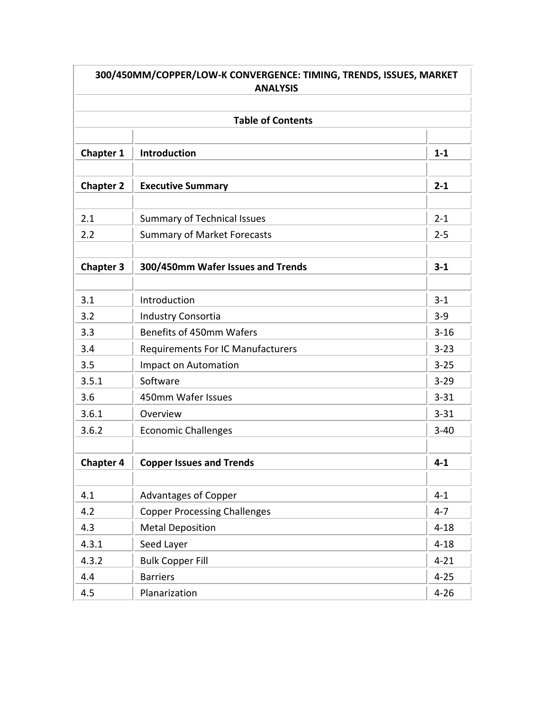| 300/450MM/COPPER/LOW-K CONVERGENCE: TIMING, TRENDS, ISSUES, MARKET<br><b>ANALYSIS</b><br><b>Table of Contents</b> |                                          |          |  |  |  |
|-------------------------------------------------------------------------------------------------------------------|------------------------------------------|----------|--|--|--|
|                                                                                                                   |                                          |          |  |  |  |
| <b>Chapter 2</b>                                                                                                  | <b>Executive Summary</b>                 | $2 - 1$  |  |  |  |
| 2.1                                                                                                               | <b>Summary of Technical Issues</b>       | $2 - 1$  |  |  |  |
| 2.2                                                                                                               | <b>Summary of Market Forecasts</b>       | $2 - 5$  |  |  |  |
| <b>Chapter 3</b>                                                                                                  | 300/450mm Wafer Issues and Trends        | $3 - 1$  |  |  |  |
| 3.1                                                                                                               | Introduction                             | $3 - 1$  |  |  |  |
| 3.2                                                                                                               | Industry Consortia                       | $3 - 9$  |  |  |  |
| 3.3                                                                                                               | Benefits of 450mm Wafers                 | $3 - 16$ |  |  |  |
| 3.4                                                                                                               | <b>Requirements For IC Manufacturers</b> | $3 - 23$ |  |  |  |
| 3.5                                                                                                               | Impact on Automation                     | $3 - 25$ |  |  |  |
| 3.5.1                                                                                                             | Software                                 | $3 - 29$ |  |  |  |
| 3.6                                                                                                               | 450mm Wafer Issues                       | $3 - 31$ |  |  |  |
| 3.6.1                                                                                                             | Overview                                 | $3 - 31$ |  |  |  |
| 3.6.2                                                                                                             | <b>Economic Challenges</b>               | $3 - 40$ |  |  |  |
| <b>Chapter 4</b>                                                                                                  | <b>Copper Issues and Trends</b>          | $4 - 1$  |  |  |  |
| 4.1                                                                                                               | <b>Advantages of Copper</b>              | $4 - 1$  |  |  |  |
| 4.2                                                                                                               | <b>Copper Processing Challenges</b>      | $4 - 7$  |  |  |  |
| 4.3                                                                                                               | <b>Metal Deposition</b>                  | $4 - 18$ |  |  |  |
| 4.3.1                                                                                                             | Seed Layer                               | $4 - 18$ |  |  |  |
| 4.3.2                                                                                                             | <b>Bulk Copper Fill</b>                  | $4 - 21$ |  |  |  |
| 4.4                                                                                                               | <b>Barriers</b>                          | $4 - 25$ |  |  |  |
| 4.5                                                                                                               | Planarization                            | $4 - 26$ |  |  |  |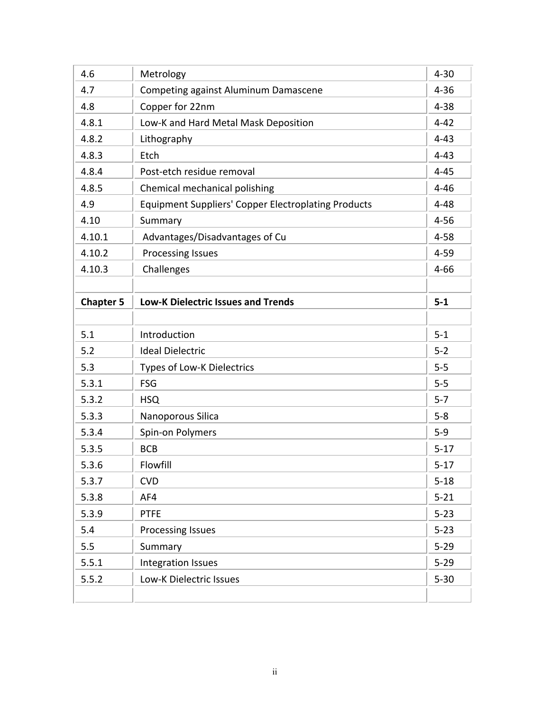| 4.6              | Metrology                                                  | $4 - 30$                                                 |
|------------------|------------------------------------------------------------|----------------------------------------------------------|
| 4.7              | Competing against Aluminum Damascene                       | $4 - 36$                                                 |
| 4.8              | Copper for 22nm                                            | $4 - 38$                                                 |
| 4.8.1            | Low-K and Hard Metal Mask Deposition                       | $4 - 42$                                                 |
| 4.8.2            | Lithography                                                | $4 - 43$                                                 |
| 4.8.3            | Etch                                                       | $4 - 43$                                                 |
| 4.8.4            | Post-etch residue removal                                  | $4 - 45$                                                 |
| 4.8.5            | Chemical mechanical polishing                              | $4 - 46$                                                 |
| 4.9              | <b>Equipment Suppliers' Copper Electroplating Products</b> | $4 - 48$                                                 |
| 4.10             | Summary                                                    | $4 - 56$                                                 |
| 4.10.1           | Advantages/Disadvantages of Cu                             | $4 - 58$                                                 |
| 4.10.2           | <b>Processing Issues</b>                                   | $4 - 59$                                                 |
| 4.10.3           | Challenges                                                 | $4 - 66$                                                 |
|                  |                                                            |                                                          |
| <b>Chapter 5</b> | <b>Low-K Dielectric Issues and Trends</b>                  | $5-1$                                                    |
|                  |                                                            |                                                          |
| 5.1              | Introduction                                               | $5-1$                                                    |
|                  |                                                            |                                                          |
| 5.2              | <b>Ideal Dielectric</b>                                    | $5 - 2$                                                  |
| 5.3              | Types of Low-K Dielectrics                                 | $5-5$                                                    |
| 5.3.1            | <b>FSG</b>                                                 | $5-5$                                                    |
| 5.3.2            | <b>HSQ</b>                                                 | $5 - 7$                                                  |
| 5.3.3            | Nanoporous Silica                                          | $5 - 8$                                                  |
| 5.3.4            | Spin-on Polymers                                           | $5-9$                                                    |
| 5.3.5            | <b>BCB</b>                                                 | $5 - 17$                                                 |
| 5.3.6            | Flowfill                                                   | $5 - 17$                                                 |
| 5.3.7            | <b>CVD</b>                                                 |                                                          |
| 5.3.8            | AF4                                                        |                                                          |
| 5.3.9            | <b>PTFE</b>                                                | $5 - 23$                                                 |
| 5.4              | Processing Issues                                          |                                                          |
| 5.5              | Summary                                                    |                                                          |
| 5.5.1            | Integration Issues                                         | $5 - 18$<br>$5 - 21$<br>$5 - 23$<br>$5 - 29$<br>$5 - 29$ |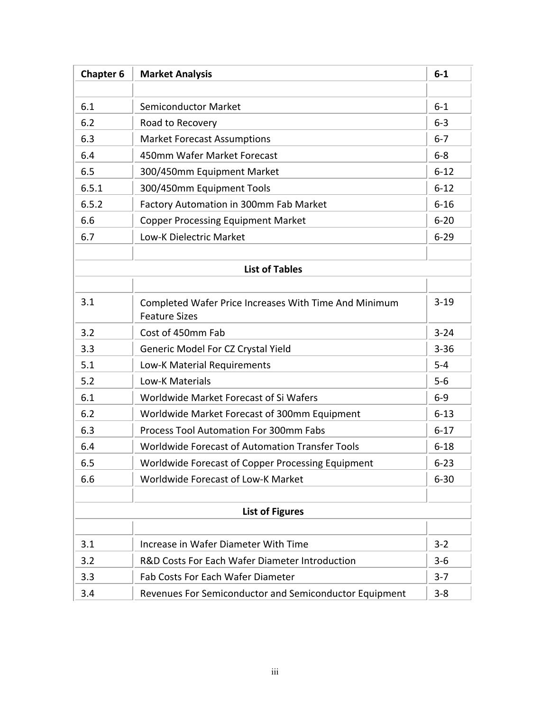| <b>Chapter 6</b> | <b>Market Analysis</b>                                                        | $6-1$    |
|------------------|-------------------------------------------------------------------------------|----------|
|                  |                                                                               |          |
| 6.1              | <b>Semiconductor Market</b>                                                   | $6-1$    |
| 6.2              | Road to Recovery                                                              | $6 - 3$  |
| 6.3              | <b>Market Forecast Assumptions</b>                                            | $6 - 7$  |
| 6.4              | 450mm Wafer Market Forecast                                                   | $6 - 8$  |
| 6.5              | 300/450mm Equipment Market                                                    | $6 - 12$ |
| 6.5.1            | 300/450mm Equipment Tools                                                     | $6 - 12$ |
| 6.5.2            | Factory Automation in 300mm Fab Market                                        | $6 - 16$ |
| 6.6              | <b>Copper Processing Equipment Market</b>                                     | $6 - 20$ |
| 6.7              | Low-K Dielectric Market                                                       | $6 - 29$ |
|                  |                                                                               |          |
|                  | <b>List of Tables</b>                                                         |          |
|                  |                                                                               | $3-19$   |
| 3.1              | Completed Wafer Price Increases With Time And Minimum<br><b>Feature Sizes</b> |          |
| 3.2              | Cost of 450mm Fab                                                             | $3 - 24$ |
| 3.3              | Generic Model For CZ Crystal Yield                                            | $3 - 36$ |
| 5.1              | Low-K Material Requirements                                                   | $5-4$    |
| 5.2              | Low-K Materials                                                               | $5-6$    |
| 6.1              | Worldwide Market Forecast of Si Wafers                                        | $6-9$    |
| 6.2              | Worldwide Market Forecast of 300mm Equipment                                  | $6 - 13$ |
| 6.3              | <b>Process Tool Automation For 300mm Fabs</b>                                 | $6 - 17$ |
| 6.4              | Worldwide Forecast of Automation Transfer Tools                               | $6 - 18$ |
| 6.5              | Worldwide Forecast of Copper Processing Equipment                             | $6 - 23$ |
| 6.6              | Worldwide Forecast of Low-K Market                                            | $6 - 30$ |
|                  |                                                                               |          |
|                  | <b>List of Figures</b>                                                        |          |
|                  |                                                                               |          |
| 3.1              | Increase in Wafer Diameter With Time                                          | $3 - 2$  |
| 3.2              | R&D Costs For Each Wafer Diameter Introduction                                | $3-6$    |
| 3.3              | <b>Fab Costs For Each Wafer Diameter</b>                                      | $3 - 7$  |
| 3.4              | Revenues For Semiconductor and Semiconductor Equipment                        | $3 - 8$  |